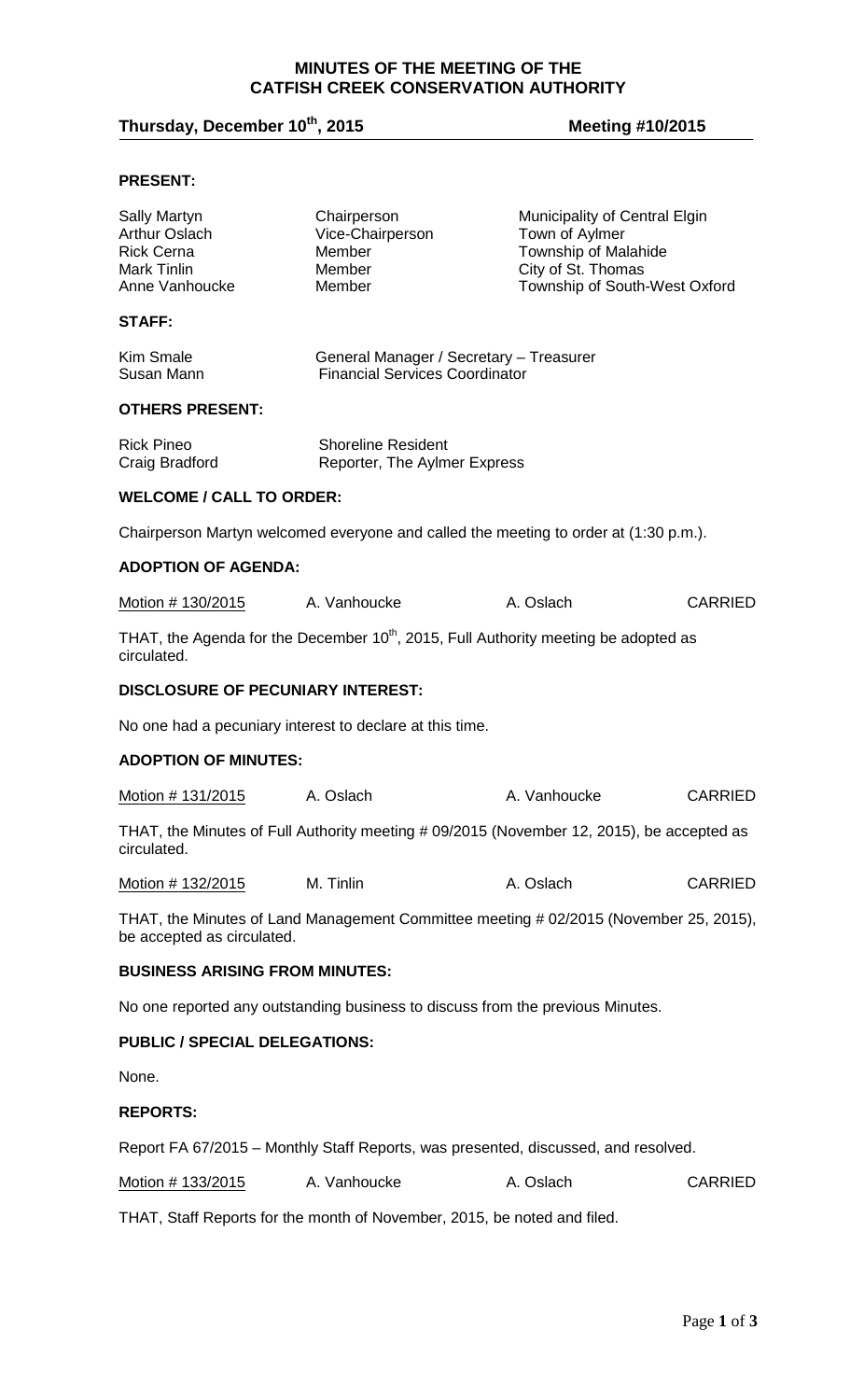#### **MINUTES OF THE MEETING OF THE CATFISH CREEK CONSERVATION AUTHORITY**

# **Thursday, December 10th, 2015 Meeting #10/2015**

# **PRESENT:**

| <b>Sally Martyn</b><br><b>Arthur Oslach</b><br><b>Rick Cerna</b><br><b>Mark Tinlin</b><br>Anne Vanhoucke            | Chairperson<br>Vice-Chairperson<br>Member<br>Member<br>Member                            | Municipality of Central Elgin<br>Town of Aylmer<br>Township of Malahide<br>City of St. Thomas<br>Township of South-West Oxford |                |
|---------------------------------------------------------------------------------------------------------------------|------------------------------------------------------------------------------------------|--------------------------------------------------------------------------------------------------------------------------------|----------------|
| <b>STAFF:</b>                                                                                                       |                                                                                          |                                                                                                                                |                |
| <b>Kim Smale</b><br>Susan Mann                                                                                      | General Manager / Secretary - Treasurer<br><b>Financial Services Coordinator</b>         |                                                                                                                                |                |
| <b>OTHERS PRESENT:</b>                                                                                              |                                                                                          |                                                                                                                                |                |
| <b>Rick Pineo</b><br>Craig Bradford                                                                                 | <b>Shoreline Resident</b><br>Reporter, The Aylmer Express                                |                                                                                                                                |                |
| <b>WELCOME / CALL TO ORDER:</b>                                                                                     |                                                                                          |                                                                                                                                |                |
|                                                                                                                     | Chairperson Martyn welcomed everyone and called the meeting to order at (1:30 p.m.).     |                                                                                                                                |                |
| <b>ADOPTION OF AGENDA:</b>                                                                                          |                                                                                          |                                                                                                                                |                |
| Motion # 130/2015                                                                                                   | A. Vanhoucke                                                                             | A. Oslach                                                                                                                      | <b>CARRIED</b> |
| circulated.                                                                                                         | THAT, the Agenda for the December $10^{th}$ , 2015, Full Authority meeting be adopted as |                                                                                                                                |                |
| <b>DISCLOSURE OF PECUNIARY INTEREST:</b>                                                                            |                                                                                          |                                                                                                                                |                |
| No one had a pecuniary interest to declare at this time.                                                            |                                                                                          |                                                                                                                                |                |
| <b>ADOPTION OF MINUTES:</b>                                                                                         |                                                                                          |                                                                                                                                |                |
| Motion # 131/2015                                                                                                   | A. Oslach                                                                                | A. Vanhoucke                                                                                                                   | <b>CARRIED</b> |
| THAT, the Minutes of Full Authority meeting # 09/2015 (November 12, 2015), be accepted as<br>circulated.            |                                                                                          |                                                                                                                                |                |
| Motion # 132/2015                                                                                                   | M. Tinlin                                                                                | A. Oslach                                                                                                                      | <b>CARRIED</b> |
| THAT, the Minutes of Land Management Committee meeting # 02/2015 (November 25, 2015),<br>be accepted as circulated. |                                                                                          |                                                                                                                                |                |
| <b>BUSINESS ARISING FROM MINUTES:</b>                                                                               |                                                                                          |                                                                                                                                |                |
|                                                                                                                     | No one reported any outstanding business to discuss from the previous Minutes.           |                                                                                                                                |                |
| <b>PUBLIC / SPECIAL DELEGATIONS:</b>                                                                                |                                                                                          |                                                                                                                                |                |
| None.                                                                                                               |                                                                                          |                                                                                                                                |                |
| <b>REPORTS:</b>                                                                                                     |                                                                                          |                                                                                                                                |                |
|                                                                                                                     | Report FA 67/2015 – Monthly Staff Reports, was presented, discussed, and resolved.       |                                                                                                                                |                |
| Motion # 133/2015                                                                                                   | A. Vanhoucke                                                                             | A. Oslach                                                                                                                      | <b>CARRIED</b> |

THAT, Staff Reports for the month of November, 2015, be noted and filed.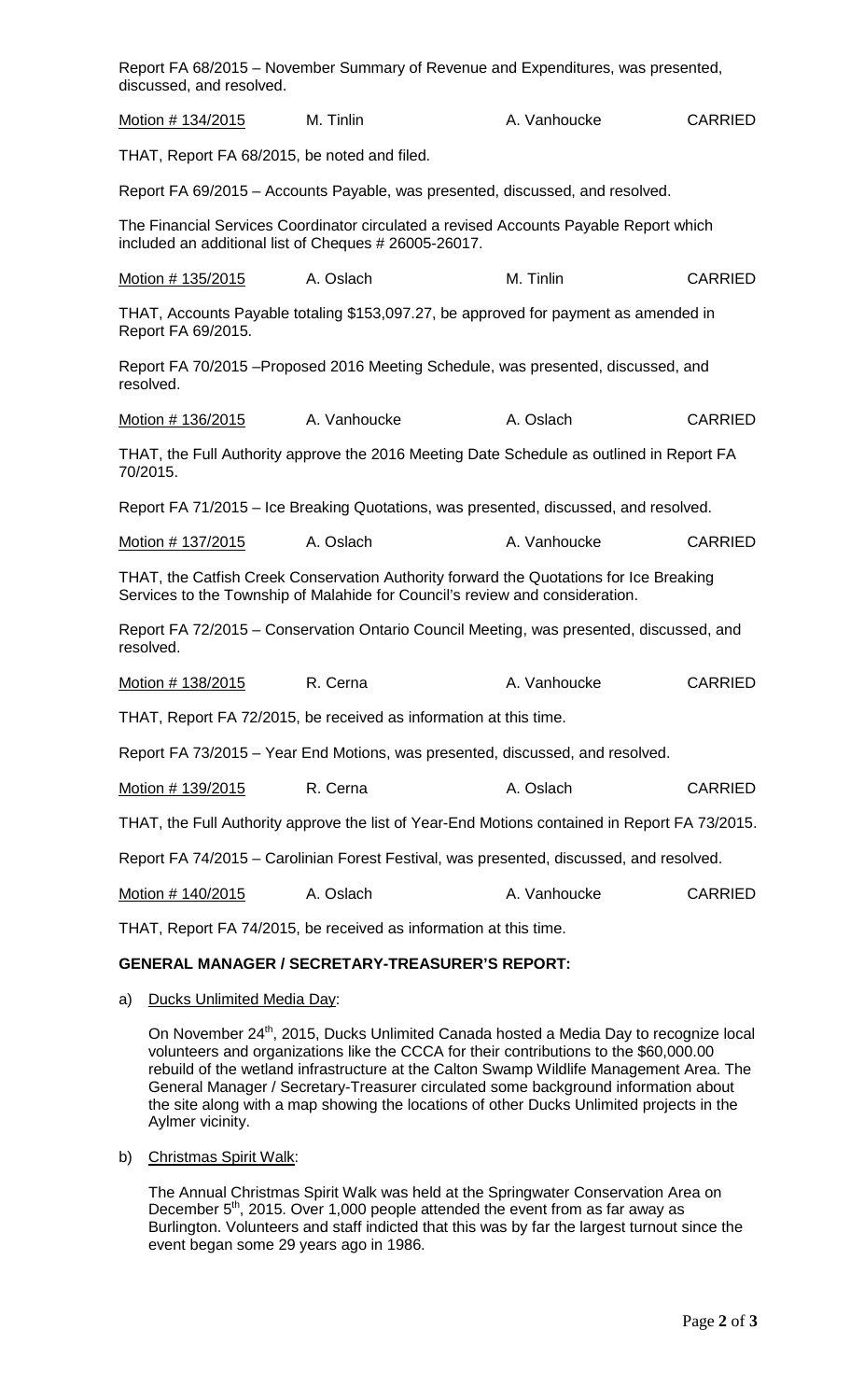| discussed, and resolved.                                                                             | Report FA 68/2015 – November Summary of Revenue and Expenditures, was presented,                                                                                       |              |                |  |
|------------------------------------------------------------------------------------------------------|------------------------------------------------------------------------------------------------------------------------------------------------------------------------|--------------|----------------|--|
| Motion # 134/2015                                                                                    | M. Tinlin                                                                                                                                                              | A. Vanhoucke | <b>CARRIED</b> |  |
| THAT, Report FA 68/2015, be noted and filed.                                                         |                                                                                                                                                                        |              |                |  |
|                                                                                                      | Report FA 69/2015 - Accounts Payable, was presented, discussed, and resolved.                                                                                          |              |                |  |
|                                                                                                      | The Financial Services Coordinator circulated a revised Accounts Payable Report which<br>included an additional list of Cheques # 26005-26017.                         |              |                |  |
| <u>Motion # 135/2015</u>                                                                             | A. Oslach                                                                                                                                                              | M. Tinlin    | <b>CARRIED</b> |  |
| Report FA 69/2015.                                                                                   | THAT, Accounts Payable totaling \$153,097.27, be approved for payment as amended in                                                                                    |              |                |  |
| resolved.                                                                                            | Report FA 70/2015 – Proposed 2016 Meeting Schedule, was presented, discussed, and                                                                                      |              |                |  |
| Motion # 136/2015                                                                                    | A. Vanhoucke                                                                                                                                                           | A. Oslach    | <b>CARRIED</b> |  |
| 70/2015.                                                                                             | THAT, the Full Authority approve the 2016 Meeting Date Schedule as outlined in Report FA                                                                               |              |                |  |
|                                                                                                      | Report FA 71/2015 – Ice Breaking Quotations, was presented, discussed, and resolved.                                                                                   |              |                |  |
| Motion # 137/2015                                                                                    | A. Oslach                                                                                                                                                              | A. Vanhoucke | <b>CARRIED</b> |  |
|                                                                                                      | THAT, the Catfish Creek Conservation Authority forward the Quotations for Ice Breaking<br>Services to the Township of Malahide for Council's review and consideration. |              |                |  |
| Report FA 72/2015 – Conservation Ontario Council Meeting, was presented, discussed, and<br>resolved. |                                                                                                                                                                        |              |                |  |
| Motion # 138/2015                                                                                    | R. Cerna                                                                                                                                                               | A. Vanhoucke | <b>CARRIED</b> |  |
|                                                                                                      | THAT, Report FA 72/2015, be received as information at this time.                                                                                                      |              |                |  |
| Report FA 73/2015 - Year End Motions, was presented, discussed, and resolved.                        |                                                                                                                                                                        |              |                |  |
| Motion # 139/2015                                                                                    | R. Cerna                                                                                                                                                               | A. Oslach    | CARRIED        |  |
|                                                                                                      | THAT, the Full Authority approve the list of Year-End Motions contained in Report FA 73/2015.                                                                          |              |                |  |
|                                                                                                      | Report FA 74/2015 – Carolinian Forest Festival, was presented, discussed, and resolved.                                                                                |              |                |  |
| Motion # 140/2015                                                                                    | A. Oslach                                                                                                                                                              | A. Vanhoucke | <b>CARRIED</b> |  |
| THAT, Report FA 74/2015, be received as information at this time.                                    |                                                                                                                                                                        |              |                |  |
|                                                                                                      | <b>GENERAL MANAGER / SECRETARY-TREASURER'S REPORT:</b>                                                                                                                 |              |                |  |
| Ducks Unlimited Media Day:<br>a)                                                                     |                                                                                                                                                                        |              |                |  |

On November 24<sup>th</sup>, 2015, Ducks Unlimited Canada hosted a Media Day to recognize local volunteers and organizations like the CCCA for their contributions to the \$60,000.00 rebuild of the wetland infrastructure at the Calton Swamp Wildlife Management Area. The General Manager / Secretary-Treasurer circulated some background information about the site along with a map showing the locations of other Ducks Unlimited projects in the Aylmer vicinity.

b) Christmas Spirit Walk:

The Annual Christmas Spirit Walk was held at the Springwater Conservation Area on December  $5<sup>th</sup>$ , 2015. Over 1,000 people attended the event from as far away as Burlington. Volunteers and staff indicted that this was by far the largest turnout since the event began some 29 years ago in 1986.